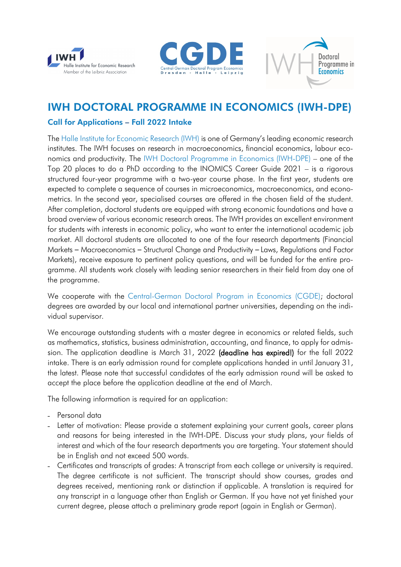





## IWH DOCTORAL PROGRAMME IN ECONOMICS (IWH-DPE)

## Call for Applications – Fall 2022 Intake

The [Halle Institute for Economic Research \(IWH\)](http://www.iwh-halle.de/en/) is one of Germany's leading economic research institutes. The IWH focuses on research in macroeconomics, financial economics, labour economics and productivity. The [IWH Doctoral Programme in Economics \(IWH-DPE\)](http://www.iwh-halle.de/en/career/doctoral-programme/iwh-doctoral-programme-in-economics/) – one of the Top 20 places to do a PhD according to the INOMICS Career Guide 2021 – is a rigorous structured four-year programme with a two-year course phase. In the first year, students are expected to complete a sequence of courses in microeconomics, macroeconomics, and econometrics. In the second year, specialised courses are offered in the chosen field of the student. After completion, doctoral students are equipped with strong economic foundations and have a broad overview of various economic research areas. The IWH provides an excellent environment for students with interests in economic policy, who want to enter the international academic job market. All doctoral students are allocated to one of the four research departments (Financial Markets – Macroeconomics – Structural Change and Productivity – Laws, Regulations and Factor Markets), receive exposure to pertinent policy questions, and will be funded for the entire programme. All students work closely with leading senior researchers in their field from day one of the programme.

We cooperate with the [Central-German Doctoral Program in Economics \(CGDE\);](http://cgde.wifa.uni-leipzig.de/) doctoral degrees are awarded by our local and international partner universities, depending on the individual supervisor.

We encourage outstanding students with a master degree in economics or related fields, such as mathematics, statistics, business administration, accounting, and finance, to apply for admission. The application deadline is March 31, 2022 (deadline has expired!) for the fall 2022 intake. There is an early admission round for complete applications handed in until January 31, the latest. Please note that successful candidates of the early admission round will be asked to accept the place before the application deadline at the end of March.

The following information is required for an application:

- Personal data
- Letter of motivation: Please provide a statement explaining your current goals, career plans and reasons for being interested in the IWH-DPE. Discuss your study plans, your fields of interest and which of the four research departments you are targeting. Your statement should be in English and not exceed 500 words.
- Certificates and transcripts of grades: A transcript from each college or university is required. The degree certificate is not sufficient. The transcript should show courses, grades and degrees received, mentioning rank or distinction if applicable. A translation is required for any transcript in a language other than English or German. If you have not yet finished your current degree, please attach a preliminary grade report (again in English or German).